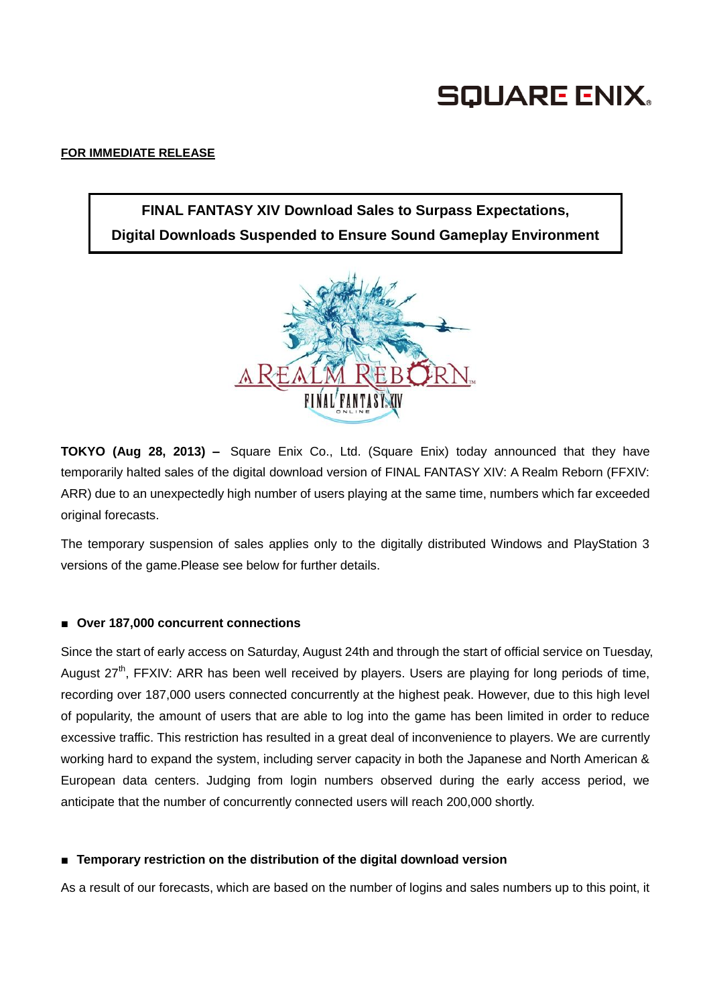# **SQUARE ENIX.**

### **FOR IMMEDIATE RELEASE**

# **FINAL FANTASY XIV Download Sales to Surpass Expectations, Digital Downloads Suspended to Ensure Sound Gameplay Environment**



**TOKYO (Aug 28, 2013) –** Square Enix Co., Ltd. (Square Enix) today announced that they have temporarily halted sales of the digital download version of FINAL FANTASY XIV: A Realm Reborn (FFXIV: ARR) due to an unexpectedly high number of users playing at the same time, numbers which far exceeded original forecasts.

The temporary suspension of sales applies only to the digitally distributed Windows and PlayStation 3 versions of the game.Please see below for further details.

### **■ Over 187,000 concurrent connections**

Since the start of early access on Saturday, August 24th and through the start of official service on Tuesday, August  $27<sup>th</sup>$ , FFXIV: ARR has been well received by players. Users are playing for long periods of time, recording over 187,000 users connected concurrently at the highest peak. However, due to this high level of popularity, the amount of users that are able to log into the game has been limited in order to reduce excessive traffic. This restriction has resulted in a great deal of inconvenience to players. We are currently working hard to expand the system, including server capacity in both the Japanese and North American & European data centers. Judging from login numbers observed during the early access period, we anticipate that the number of concurrently connected users will reach 200,000 shortly.

## ■ **Temporary restriction on the distribution of the digital download version**

As a result of our forecasts, which are based on the number of logins and sales numbers up to this point, it